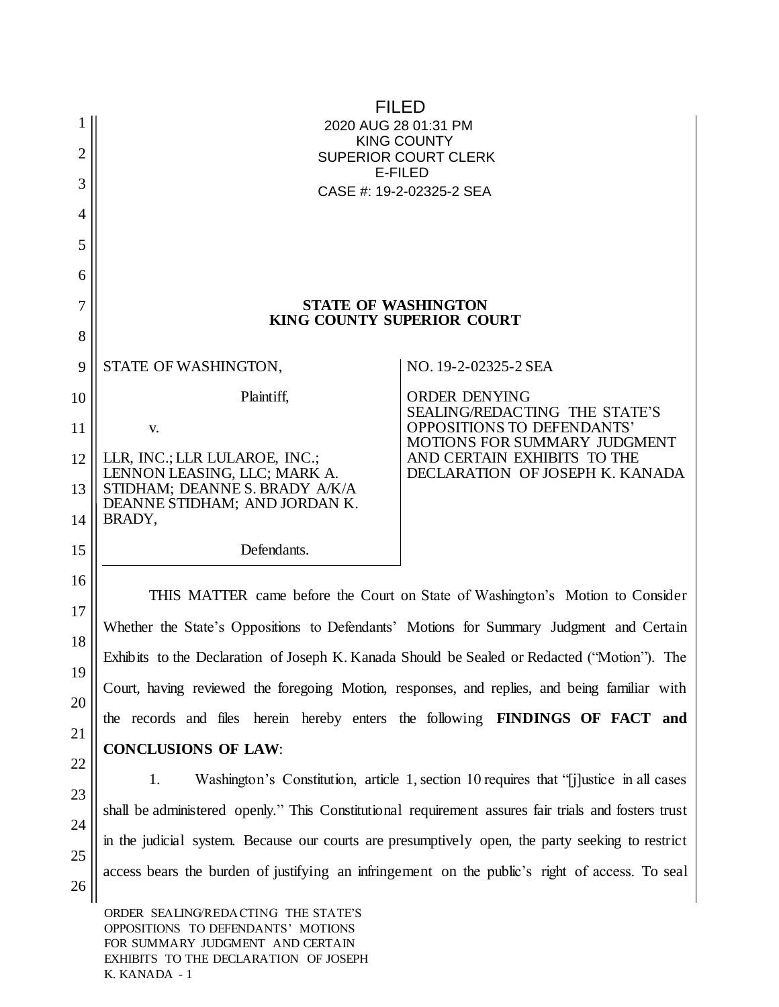| 2<br>3<br>4 | GEGEÁDEVŐÁGI ÁEFKHFÁUT<br><b>SOPŐŐUWPVŸ</b><br>ÙWÚÒÜQUÜÁÔUWÜVÁÔŠÒÜS<br><b>OEZSÓŐ</b><br>ÔŒÙÒÁNÁFJË <del>JË</del> GHAÍ ËJAÛÒŒ |                                                                |  |
|-------------|------------------------------------------------------------------------------------------------------------------------------|----------------------------------------------------------------|--|
| 5           |                                                                                                                              |                                                                |  |
| 6           |                                                                                                                              |                                                                |  |
| 7<br>8      | <b>STATE OF WASHINGTON</b><br>KING COUNTY SUPERIOR COURT                                                                     |                                                                |  |
| 9           | STATE OF WASHINGTON,                                                                                                         | NO. 19-2-02325-2 SEA                                           |  |
| 10          | Plaintiff,                                                                                                                   | <b>ORDER DENYING</b><br><b>SEALING/REDACTING THE STATE'S</b>   |  |
| 11          | V.                                                                                                                           | OPPOSITIONS TO DEFENDANTS'<br>MOTIONS FOR SUMMARY JUDGMENT     |  |
| 12          | LLR, INC.; LLR LULAROE, INC.;<br>LENNON LEASING, LLC; MARK A.                                                                | AND CERTAIN EXHIBITS TO THE<br>DECLARATION OF JOSEPH K. KANADA |  |
| 13<br>14    | STIDHAM; DEANNE S. BRADY A/K/A<br>DEANNE STIDHAM; AND JORDAN K.<br>BRADY,                                                    |                                                                |  |
| 15          | Defendants.                                                                                                                  |                                                                |  |
| 16          | THIS MATTER came before the Court on State of Washington's Motion to Consider                                                |                                                                |  |
| 17          | Whether the State's Oppositions to Defendants' Motions for Summary Judgment and Certain                                      |                                                                |  |
| 18          | Exhibits to the Declaration of Joseph K. Kanada Should be Sealed or Redacted ("Motion"). The                                 |                                                                |  |
| 19          | Court, having reviewed the foregoing Motion, responses, and replies, and being familiar with                                 |                                                                |  |
| 20          | the records and files herein hereby enters the following <b>FINDINGS OF FACT</b> and                                         |                                                                |  |
| 21          | <b>CONCLUSIONS OF LAW:</b>                                                                                                   |                                                                |  |
| 22          | Washington's Constitution, article 1, section 10 requires that "i justice in all cases"                                      |                                                                |  |
| 23          | 1.<br>shall be administered openly." This Constitutional requirement assures fair trials and fosters trust                   |                                                                |  |
| 24          | in the judicial system. Because our courts are presumptively open, the party seeking to restrict                             |                                                                |  |
| 25<br>26    | access bears the burden of justifying an infringement on the public's right of access. To seal                               |                                                                |  |

ORDER SEALING/REDACTING THE STATE'S OPPOSITIONS TO DEFENDANTS' MOTIONS FOR SUMMARY JUDGMENT AND CERTAIN EXHIBITS TO THE DECLARATION OF JOSEPH K. KANADA - 1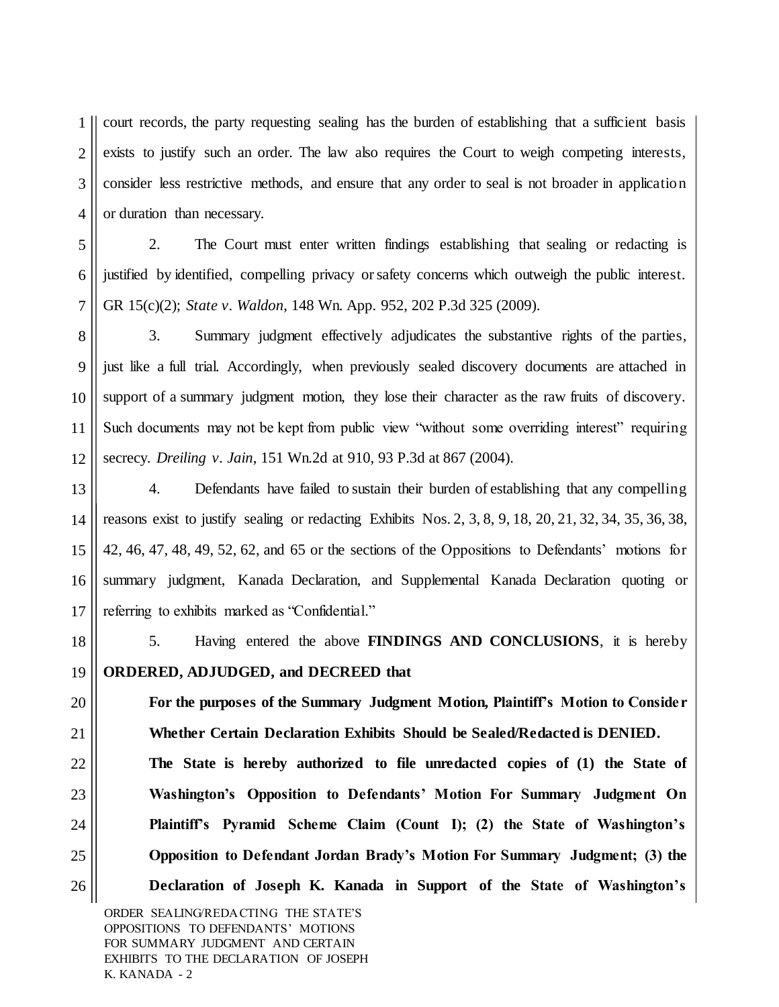1 2 3 4 court records, the party requesting sealing has the burden of establishing that a sufficient basis exists to justify such an order. The law also requires the Court to weigh competing interests, consider less restrictive methods, and ensure that any order to seal is not broader in application or duration than necessary.

5 6 7 2. The Court must enter written findings establishing that sealing or redacting is justified by identified, compelling privacy or safety concerns which outweigh the public interest. GR 15(c)(2); *State v. Waldon*, 148 Wn. App. 952, 202 P.3d 325 (2009).

8 9 10 11 12 3. Summary judgment effectively adjudicates the substantive rights of the parties, just like a full trial. Accordingly, when previously sealed discovery documents are attached in support of a summary judgment motion, they lose their character as the raw fruits of discovery. Such documents may not be kept from public view "without some overriding interest" requiring secrecy. *Dreiling v. Jain*, 151 Wn.2d at 910, 93 P.3d at 867 (2004).

13 14 15 16 17 4. Defendants have failed to sustain their burden of establishing that any compelling reasons exist to justify sealing or redacting Exhibits Nos. 2, 3, 8, 9, 18, 20, 21, 32, 34, 35, 36, 38, 42, 46, 47, 48, 49, 52, 62, and 65 or the sections of the Oppositions to Defendants' motions for summary judgment, Kanada Declaration, and Supplemental Kanada Declaration quoting or referring to exhibits marked as "Confidential."

18 19 5. Having entered the above **FINDINGS AND CONCLUSIONS**, it is hereby **ORDERED, ADJUDGED, and DECREED that** 

**For the purposes of the Summary Judgment Motion, Plaintiff's Motion to Consider Whether Certain Declaration Exhibits Should be Sealed/Redacted is DENIED.** 

**The State is hereby authorized to file unredacted copies of (1) the State of Washington's Opposition to Defendants' Motion For Summary Judgment On Plaintiff's Pyramid Scheme Claim (Count I); (2) the State of Washington's Opposition to Defendant Jordan Brady's Motion For Summary Judgment; (3) the Declaration of Joseph K. Kanada in Support of the State of Washington's** 

ORDER SEALING/REDACTING THE STATE'S OPPOSITIONS TO DEFENDANTS' MOTIONS FOR SUMMARY JUDGMENT AND CERTAIN EXHIBITS TO THE DECLARATION OF JOSEPH K. KANADA - 2

20

21

22

23

24

25

26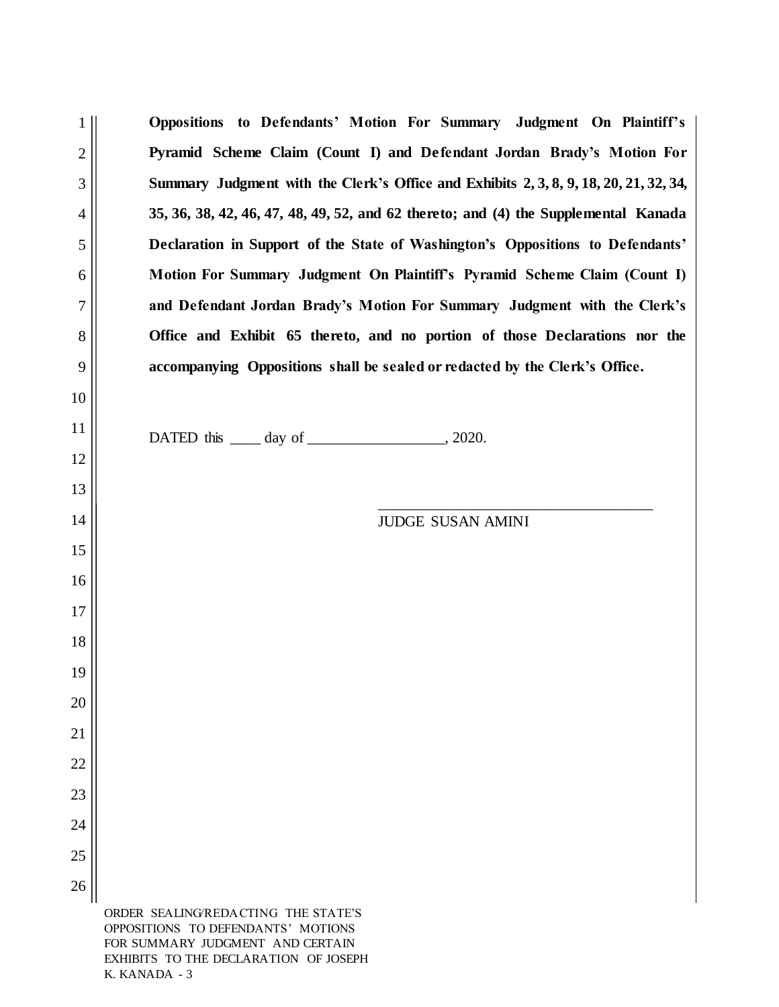|                | Oppositions to Defendants' Motion For Summary Judgment On Plaintiff's                 |  |  |
|----------------|---------------------------------------------------------------------------------------|--|--|
| $\overline{2}$ | Pyramid Scheme Claim (Count I) and Defendant Jordan Brady's Motion For                |  |  |
| 3              | Summary Judgment with the Clerk's Office and Exhibits 2, 3, 8, 9, 18, 20, 21, 32, 34, |  |  |
| $\overline{4}$ | 35, 36, 38, 42, 46, 47, 48, 49, 52, and 62 thereto; and (4) the Supplemental Kanada   |  |  |
| 5              | Declaration in Support of the State of Washington's Oppositions to Defendants'        |  |  |
| 6              | Motion For Summary Judgment On Plaintiff's Pyramid Scheme Claim (Count I)             |  |  |
| 7              | and Defendant Jordan Brady's Motion For Summary Judgment with the Clerk's             |  |  |
| 8              | Office and Exhibit 65 thereto, and no portion of those Declarations nor the           |  |  |
| 9              | accompanying Oppositions shall be sealed or redacted by the Clerk's Office.           |  |  |
| 10             |                                                                                       |  |  |
| 11             |                                                                                       |  |  |
| 12             |                                                                                       |  |  |
| 13             |                                                                                       |  |  |
| 14             | <b>JUDGE SUSAN AMINI</b>                                                              |  |  |
| 15             |                                                                                       |  |  |
| 16             |                                                                                       |  |  |
| 17             |                                                                                       |  |  |
| 18             |                                                                                       |  |  |
| 19             |                                                                                       |  |  |
| 20             |                                                                                       |  |  |
| 21             |                                                                                       |  |  |
| 22             |                                                                                       |  |  |
| 23             |                                                                                       |  |  |
| 24             |                                                                                       |  |  |
| 25             |                                                                                       |  |  |
| 26             |                                                                                       |  |  |
|                | ORDER SEALING/REDACTING THE STATE'S<br>OPPOSITIONS TO DEFENDANTS' MOTIONS             |  |  |

FOR SUMMARY JUDGMENT AND CERTAIN EXHIBITS TO THE DECLARATION OF JOSEPH K. KANADA - 3